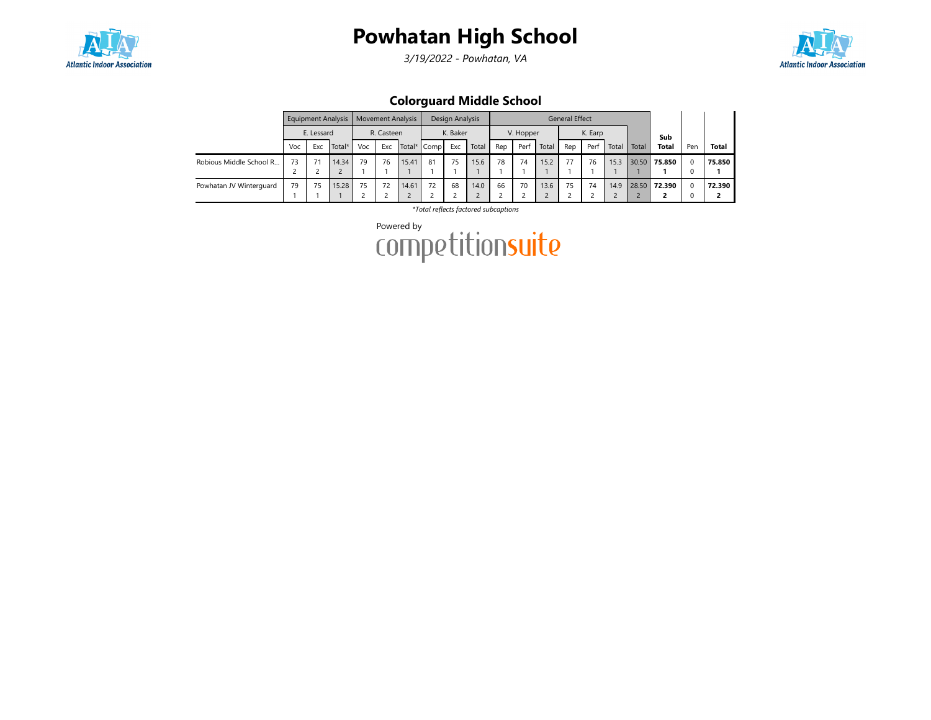

3/19/2022 - Powhatan, VA



Colorguard Middle School

|                         |     |            | Equipment Analysis |     |            | <b>Movement Analysis</b> |             | Design Analysis |       |     |           |       | <b>General Effect</b> |         |       |       |        |     |              |
|-------------------------|-----|------------|--------------------|-----|------------|--------------------------|-------------|-----------------|-------|-----|-----------|-------|-----------------------|---------|-------|-------|--------|-----|--------------|
|                         |     | E. Lessard |                    |     | R. Casteen |                          |             | K. Baker        |       |     | V. Hopper |       |                       | K. Earp |       |       | Sub    |     |              |
|                         | Voc | Exc        | Total*             | Voc | Exc        |                          | Total* Comp | Exc             | Total | Rep | Perf      | Total | Rep                   | Perf    | Total | Total | Total  | Pen | <b>Total</b> |
| Robious Middle School R | 73  |            | 14.34              | 79  | 76         | 15.41                    | 81          | 75              | 15.6  | 78  | 74        | 15.2  | 77                    | 76      | 15.3  | 30.50 | 75.850 | 0   | 75.850       |
|                         |     |            |                    |     |            |                          |             |                 |       |     |           |       |                       |         |       |       |        |     |              |
| Powhatan JV Winterguard | 79  | 75         | 15.28              | 75  | 72         | 14.61                    | 72          | 68              | 14.0  | 66  | 70        | 13.6  | 75                    | 74      | 14.9  | 28.50 | 72.390 | 0   | 72.390       |
|                         |     |            |                    |     |            |                          |             |                 |       |     |           |       |                       |         |       |       |        |     |              |

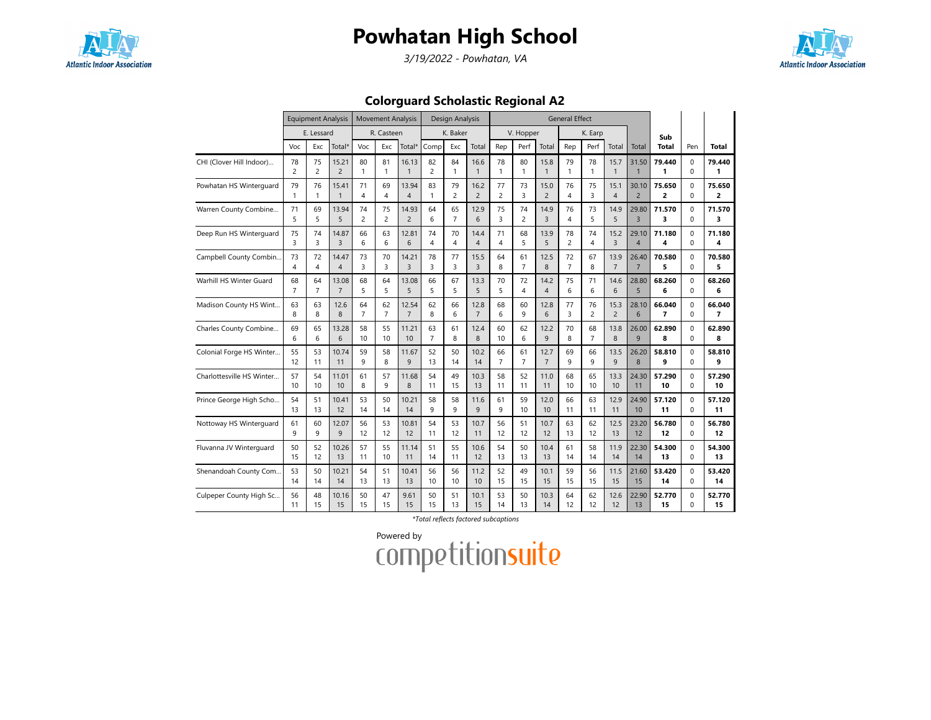

3/19/2022 - Powhatan, VA



Colorguard Scholastic Regional A2

|                           |                | <b>Equipment Analysis</b> |                    |                | <b>Movement Analysis</b> |                |                | Design Analysis |                |                |                         |                | <b>General Effect</b> |                |                |                |                         |             |                |
|---------------------------|----------------|---------------------------|--------------------|----------------|--------------------------|----------------|----------------|-----------------|----------------|----------------|-------------------------|----------------|-----------------------|----------------|----------------|----------------|-------------------------|-------------|----------------|
|                           |                | E. Lessard                |                    |                | R. Casteen               |                |                | K. Baker        |                |                | V. Hopper               |                |                       | K. Earp        |                |                | Sub                     |             |                |
|                           | Voc            | Exc                       | Total <sup>®</sup> | Voc            | Exc                      | Total*         | Comp           | Exc             | Total          | Rep            | Perf                    | Total          | Rep                   | Perf           | Total          | Total          | <b>Total</b>            | Pen         | Total          |
| CHI (Clover Hill Indoor)  | 78             | 75                        | 15.21              | 80             | 81                       | 16.13          | 82             | 84              | 16.6           | 78             | 80                      | 15.8           | 79                    | 78             | 15.7           | 31.50          | 79.440                  | $\Omega$    | 79.440         |
|                           | $\overline{2}$ | $\overline{c}$            | $\overline{2}$     | $\mathbf{1}$   | $\mathbf{1}$             | $\mathbf{1}$   | $\overline{c}$ | $\mathbf{1}$    | $\mathbf{1}$   | $\mathbf{1}$   | $\mathbf{1}$            | $\mathbf{1}$   | $\mathbf{1}$          | $\mathbf{1}$   | $\mathbf{1}$   | $\mathbf{1}$   | 1                       | $\Omega$    | 1              |
| Powhatan HS Winterguard   | 79             | 76                        | 15.41              | 71             | 69                       | 13.94          | 83             | 79              | 16.2           | 77             | 73                      | 15.0           | 76                    | 75             | 15.1           | 30.10          | 75.650                  | $\Omega$    | 75.650         |
|                           | $\mathbf{1}$   | $\mathbf{1}$              | $\mathbf{1}$       | $\overline{4}$ | 4                        | $\overline{4}$ | 1              | 2               | $\overline{c}$ | 2              | 3                       | $\overline{c}$ | 4                     | 3              | 4              | $\overline{2}$ | 2                       | 0           | 2              |
| Warren County Combine     | 71             | 69                        | 13.94              | 74             | 75                       | 14.93          | 64             | 65              | 12.9           | 75             | 74                      | 14.9           | 76                    | 73             | 14.9           | 29.80          | 71.570                  | $\Omega$    | 71.570         |
|                           | 5              | 5                         | 5                  | $\overline{2}$ | $\overline{2}$           | $\overline{2}$ | 6              | $\overline{7}$  | 6              | 3              | $\overline{c}$          | $\overline{3}$ | $\overline{4}$        | 5              | 5              | $\overline{3}$ | $\overline{\mathbf{3}}$ | $\mathbf 0$ | 3              |
| Deep Run HS Winterguard   | 75             | 74                        | 14.87              | 66             | 63                       | 12.81          | 74             | 70              | 14.4           | 71             | 68                      | 13.9           | 78                    | 74             | 15.2           | 29.10          | 71.180                  | $\Omega$    | 71.180         |
|                           | 3              | 3                         | $\overline{3}$     | 6              | 6                        | 6              | 4              | 4               | $\overline{4}$ | 4              | 5                       | 5              | $\overline{c}$        | 4              | 3              | $\overline{4}$ | 4                       | $\Omega$    | Δ              |
| Campbell County Combin    | 73             | 72                        | 14.47              | 73             | 70                       | 14.21          | 78             | 77              | 15.5           | 64             | 61                      | 12.5           | 72                    | 67             | 13.9           | 26.40          | 70.580                  | 0           | 70.580         |
|                           | 4              | 4                         | $\overline{4}$     | 3              | 3                        | $\overline{3}$ | 3              | 3               | $\overline{3}$ | 8              | $\overline{7}$          | 8              | $\overline{7}$        | 8              | $\overline{7}$ | $\overline{7}$ | 5                       | $\Omega$    | 5              |
| Warhill HS Winter Guard   | 68             | 64                        | 13.08              | 68             | 64                       | 13.08          | 66             | 67              | 13.3           | 70             | 72                      | 14.2           | 75                    | 71             | 14.6           | 28.80          | 68.260                  | $\Omega$    | 68.260         |
|                           | $\overline{7}$ | $\overline{7}$            | $\overline{7}$     | 5              | 5                        | 5              | 5              | 5               | 5              | 5              | $\overline{\mathbf{4}}$ | $\overline{4}$ | 6                     | 6              | 6              | 5              | 6                       | $\Omega$    | 6              |
| Madison County HS Wint    | 63             | 63                        | 12.6               | 64             | 62                       | 12.54          | 62             | 66              | 12.8           | 68             | 60                      | 12.8           | 77                    | 76             | 15.3           | 28.10          | 66.040                  | $\Omega$    | 66.040         |
|                           | 8              | 8                         | 8                  | $\overline{7}$ | $\overline{7}$           | $\overline{7}$ | 8              | 6               | $\overline{7}$ | 6              | 9                       | 6              | 3                     | 2              | $\overline{c}$ | 6              | $\overline{7}$          | $\Omega$    | $\overline{7}$ |
| Charles County Combine    | 69             | 65                        | 13.28              | 58             | 55                       | 11.21          | 63             | 61              | 12.4           | 60             | 62                      | 12.2           | 70                    | 68             | 13.8           | 26.00          | 62.890                  | $\Omega$    | 62.890         |
|                           | 6              | 6                         | 6                  | 10             | 10                       | 10             | $\overline{7}$ | 8               | 8              | 10             | 6                       | 9              | 8                     | $\overline{7}$ | 8              | 9              | 8                       | $\Omega$    | 8              |
| Colonial Forge HS Winter  | 55             | 53                        | 10.74              | 59             | 58                       | 11.67          | 52             | 50              | 10.2           | 66             | 61                      | 12.7           | 69                    | 66             | 13.5           | 26.20          | 58.810                  | $\Omega$    | 58.810         |
|                           | 12             | 11                        | 11                 | 9              | 8                        | 9              | 13             | 14              | 14             | $\overline{7}$ | $\overline{7}$          | $\overline{7}$ | 9                     | 9              | 9              | 8              | 9                       | $\Omega$    | q              |
| Charlottesville HS Winter | 57             | 54                        | 11.01              | 61             | 57                       | 11.68          | 54             | 49              | 10.3           | 58             | 52                      | 11.0           | 68                    | 65             | 13.3           | 24.30          | 57.290                  | 0           | 57.290         |
|                           | 10             | 10                        | 10                 | 8              | 9                        | 8              | 11             | 15              | 13             | 11             | 11                      | 11             | 10                    | 10             | 10             | 11             | 10                      | $\Omega$    | 10             |
| Prince George High Scho   | 54             | 51                        | 10.41              | 53             | 50                       | 10.21          | 58             | 58              | 11.6           | 61             | 59                      | 12.0           | 66                    | 63             | 12.9           | 24.90          | 57.120                  | $\Omega$    | 57.120         |
|                           | 13             | 13                        | 12                 | 14             | 14                       | 14             | 9              | 9               | 9              | 9              | 10                      | 10             | 11                    | 11             | 11             | 10             | 11                      | $\Omega$    | 11             |
| Nottoway HS Winterguard   | 61             | 60                        | 12.07              | 56             | 53                       | 10.81          | 54             | 53              | 10.7           | 56             | 51                      | 10.7           | 63                    | 62             | 12.5           | 23.20          | 56.780                  | $\mathbf 0$ | 56.780         |
|                           | 9              | 9                         | 9                  | 12             | 12                       | 12             | 11             | 12              | 11             | 12             | 12                      | 12             | 13                    | 12             | 13             | 12             | 12                      | $\Omega$    | 12             |
| Fluvanna JV Winterguard   | 50             | 52                        | 10.26              | 57             | 55                       | 11.14          | 51             | 55              | 10.6           | 54             | 50                      | 10.4           | 61                    | 58             | 11.9           | 22.30          | 54.300                  | $\Omega$    | 54.300         |
|                           | 15             | 12                        | 13                 | 11             | 10                       | 11             | 14             | 11              | 12             | 13             | 13                      | 13             | 14                    | 14             | 14             | 14             | 13                      | $\Omega$    | 13             |
| Shenandoah County Com     | 53             | 50                        | 10.21              | 54             | 51                       | 10.41          | 56             | 56              | 11.2           | 52             | 49                      | 10.1           | 59                    | 56             | 11.5           | 21.60          | 53.420                  | $\Omega$    | 53.420         |
|                           | 14             | 14                        | 14                 | 13             | 13                       | 13             | 10             | 10              | 10             | 15             | 15                      | 15             | 15                    | 15             | 15             | 15             | 14                      | $\Omega$    | 14             |
| Culpeper County High Sc   | 56             | 48                        | 10.16              | 50             | 47                       | 9.61           | 50             | 51              | 10.1           | 53             | 50                      | 10.3           | 64                    | 62             | 12.6           | 22.90          | 52.770                  | $\Omega$    | 52.770         |
|                           | 11             | 15                        | 15                 | 15             | 15                       | 15             | 15             | 13              | 15             | 14             | 13                      | 14             | 12                    | 12             | 12             | 13             | 15                      | $\Omega$    | 15             |

\*Total reflects factored subcaptions

Powered by<br>COMPetitionsuite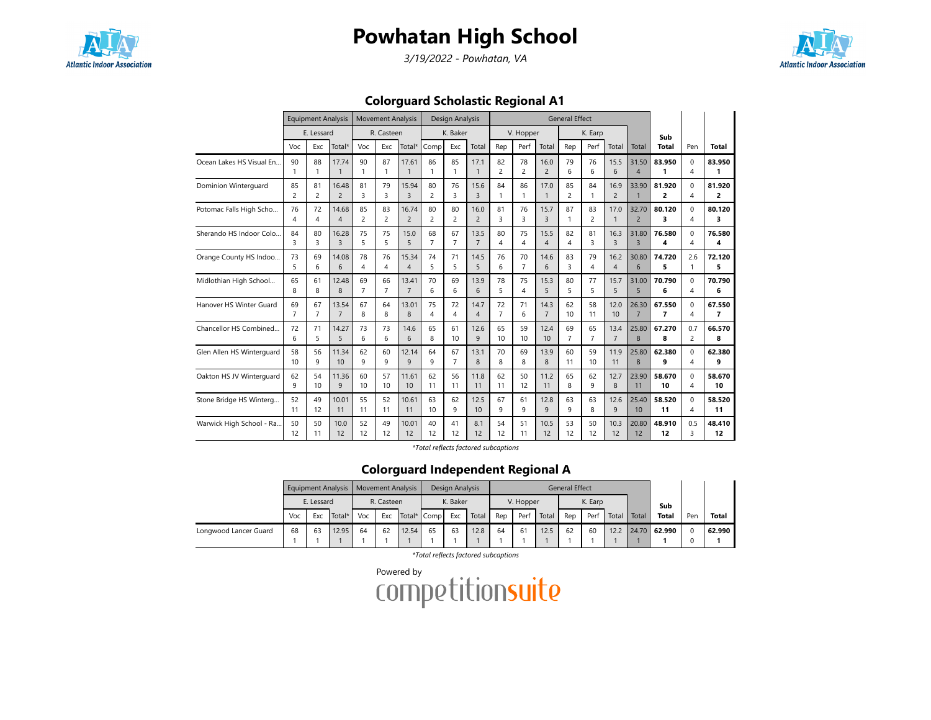

3/19/2022 - Powhatan, VA



Colorguard Scholastic Regional A1

|                           |                         | <b>Equipment Analysis</b> |                       |                | <b>Movement Analysis</b> |                       |                | Design Analysis |                      |                      |                      |                        | <b>General Effect</b> |                |                |                         |                          |                |             |
|---------------------------|-------------------------|---------------------------|-----------------------|----------------|--------------------------|-----------------------|----------------|-----------------|----------------------|----------------------|----------------------|------------------------|-----------------------|----------------|----------------|-------------------------|--------------------------|----------------|-------------|
|                           |                         | E. Lessard                |                       |                | R. Casteen               |                       |                | K. Baker        |                      |                      | V. Hopper            |                        |                       | K. Earp        |                |                         | Sub                      |                |             |
|                           | Voc                     | Exc                       | Total*                | Voc            | Exc                      | Total*                | Comp           | Exc             | Total                | Rep                  | Perf                 | Total                  | Rep                   | Perf           | Total          | Total                   | <b>Total</b>             | Pen            | Total       |
| Ocean Lakes HS Visual En  | 90                      | 88<br>1                   | 17.74<br>$\mathbf{1}$ | 90<br>1        | 87<br>$\mathbf{1}$       | 17.61<br>$\mathbf{1}$ | 86             | 85<br>1         | 17.1<br>$\mathbf{1}$ | 82<br>$\overline{c}$ | 78<br>$\overline{c}$ | 16.0<br>$\overline{2}$ | 79<br>6               | 76<br>6        | 15.5<br>6      | 31.50<br>$\overline{4}$ | 83.950<br>1              | $\Omega$<br>4  | 83.950<br>1 |
| Dominion Winterquard      | 85                      | 81                        | 16.48                 | 81             | 79                       | 15.94                 | 80             | 76              | 15.6                 | 84                   | 86                   | 17.0                   | 85                    | 84             | 16.9           | 33.90                   | 81.920                   | $\Omega$       | 81.920      |
|                           | $\overline{c}$          | $\overline{c}$            | $\overline{2}$        | 3              | 3                        | $\overline{3}$        | $\overline{2}$ | 3               | $\overline{3}$       | 1                    | 1                    | $\mathbf{1}$           | $\overline{2}$        | 1              | $\overline{2}$ | $\overline{1}$          | 2                        | 4              | 2           |
| Potomac Falls High Scho   | 76                      | 72                        | 14.68                 | 85             | 83                       | 16.74                 | 80             | 80              | 16.0                 | 81                   | 76                   | 15.7                   | 87                    | 83             | 17.0           | 32.70                   | 80.120                   | $\Omega$       | 80.120      |
|                           | 4                       | 4                         | $\overline{4}$        | $\overline{c}$ | $\overline{2}$           | $\overline{2}$        | 2              | $\overline{c}$  | $\overline{2}$       | 3                    | 3                    | $\overline{3}$         | $\mathbf{1}$          | $\overline{c}$ | $\mathbf{1}$   | $\overline{2}$          | 3                        | 4              | 3           |
| Sherando HS Indoor Colo   | 84                      | 80                        | 16.28                 | 75             | 75                       | 15.0                  | 68             | 67              | 13.5                 | 80                   | 75                   | 15.5                   | 82                    | 81             | 16.3           | 31.80                   | 76.580                   | $\Omega$       | 76.580      |
|                           | $\overline{\mathbf{3}}$ | 3                         | $\overline{3}$        | 5              | 5                        | 5                     | $\overline{7}$ | $\overline{7}$  | $\overline{7}$       | 4                    | 4                    | $\overline{4}$         | 4                     | 3              | 3              | $\overline{3}$          | 4                        | 4              | 4           |
| Orange County HS Indoo    | 73                      | 69                        | 14.08                 | 78             | 76                       | 15.34                 | 74             | 71              | 14.5                 | 76                   | 70                   | 14.6                   | 83                    | 79             | 16.2           | 30.80                   | 74.720                   | 2.6            | 72.120      |
|                           | 5                       | 6                         | 6                     | 4              | 4                        | $\overline{4}$        | 5              | 5               | 5                    | 6                    | $\overline{7}$       | 6                      | 3                     | 4              | $\overline{4}$ | 6                       | 5                        | 1              | 5           |
| Midlothian High School    | 65                      | 61                        | 12.48                 | 69             | 66                       | 13.41                 | 70             | 69              | 13.9                 | 78                   | 75                   | 15.3                   | 80                    | 77             | 15.7           | 31.00                   | 70.790                   | $\Omega$       | 70.790      |
|                           | 8                       | 8                         | 8                     | $\overline{7}$ | $\overline{7}$           | $\overline{7}$        | 6              | 6               | 6                    | 5                    | 4                    | $\overline{5}$         | 5                     | 5              | 5              | 5                       | 6                        | 4              | 6           |
| Hanover HS Winter Guard   | 69                      | 67                        | 13.54                 | 67             | 64                       | 13.01                 | 75             | 72              | 14.7                 | 72                   | 71                   | 14.3                   | 62                    | 58             | 12.0           | 26.30                   | 67.550                   | $\Omega$       | 67.550      |
|                           | $\overline{7}$          | $\overline{7}$            | $\overline{7}$        | 8              | 8                        | 8                     | 4              | 4               | $\overline{4}$       | $\overline{7}$       | 6                    | $\overline{7}$         | 10                    | 11             | 10             | $\overline{7}$          | $\overline{\phantom{a}}$ | 4              | 7           |
| Chancellor HS Combined    | 72                      | 71                        | 14.27                 | 73             | 73                       | 14.6                  | 65             | 61              | 12.6                 | 65                   | 59                   | 12.4                   | 69                    | 65             | 13.4           | 25.80                   | 67.270                   | 0.7            | 66.570      |
|                           | 6                       | 5                         | 5                     | 6              | 6                        | 6                     | 8              | 10              | 9                    | 10                   | 10                   | 10                     | $\overline{7}$        | $\overline{7}$ | $\overline{7}$ | 8                       | 8                        | $\overline{c}$ | 8           |
| Glen Allen HS Winterguard | 58                      | 56                        | 11.34                 | 62             | 60                       | 12.14                 | 64             | 67              | 13.1                 | 70                   | 69                   | 13.9                   | 60                    | 59             | 11.9           | 25.80                   | 62.380                   | $\Omega$       | 62.380      |
|                           | 10                      | 9                         | 10                    | 9              | 9                        | 9                     | 9              | $\overline{7}$  | 8                    | 8                    | 8                    | 8                      | 11                    | 10             | 11             | 8                       | 9                        | 4              | 9           |
| Oakton HS JV Winterguard  | 62                      | 54                        | 11.36                 | 60             | 57                       | 11.61                 | 62             | 56              | 11.8                 | 62                   | 50                   | 11.2                   | 65                    | 62             | 12.7           | 23.90                   | 58.670                   | $\Omega$       | 58.670      |
|                           | q                       | 10                        | 9                     | 10             | 10                       | 10                    | 11             | 11              | 11                   | 11                   | 12                   | 11                     | 8                     | 9              | 8              | 11                      | 10                       | 4              | 10          |
| Stone Bridge HS Winterg   | 52                      | 49                        | 10.01                 | 55             | 52                       | 10.61                 | 63             | 62              | 12.5                 | 67                   | 61                   | 12.8                   | 63                    | 63             | 12.6           | 25.40                   | 58.520                   | $\Omega$       | 58.520      |
|                           | 11                      | 12                        | 11                    | 11             | 11                       | 11                    | 10             | 9               | 10                   | 9                    | 9                    | $\mathsf{q}$           | q                     | 8              | 9              | 10                      | 11                       | 4              | 11          |
| Warwick High School - Ra  | 50                      | 50                        | 10.0                  | 52             | 49                       | 10.01                 | 40             | 41              | 8.1                  | 54                   | 51                   | 10.5                   | 53                    | 50             | 10.3           | 20.80                   | 48.910                   | 0.5            | 48.410      |
|                           | 12                      | 11                        | 12                    | 12             | 12                       | 12                    | 12             | 12              | 12                   | 12                   | 11                   | 12                     | 12                    | 12             | 12             | 12                      | 12                       | 3              | 12          |

\*Total reflects factored subcaptions

### Colorguard Independent Regional A

|                       |     |            | Equipment Analysis |     |                                  | Movement Analysis |    | Design Analysis |       |     |           |       | <b>General Effect</b> |         |       |       |              |     |              |
|-----------------------|-----|------------|--------------------|-----|----------------------------------|-------------------|----|-----------------|-------|-----|-----------|-------|-----------------------|---------|-------|-------|--------------|-----|--------------|
|                       |     | E. Lessard |                    |     | R. Casteen<br>Total* Comp<br>Exc |                   |    | K. Baker        |       |     | V. Hopper |       |                       | K. Earp |       |       | Sub          |     |              |
|                       | Voc | Exc        | Total*             | Voc |                                  |                   |    | Exc             | Total | Rep | Perf      | Total | Rep                   | Perf    | Total | Total | <b>Total</b> | Pen | <b>Total</b> |
| Longwood Lancer Guard | 68  | 63         | 12.95              | 64  | 62                               | 12.54             | 65 | 63              | 12.8  | 64  | 61        | 12.5  | 62                    | 60      | 12.2  |       | 24.70 62.990 |     | 62.990       |
|                       |     |            |                    |     |                                  |                   |    |                 |       |     |           |       |                       |         |       |       |              |     |              |

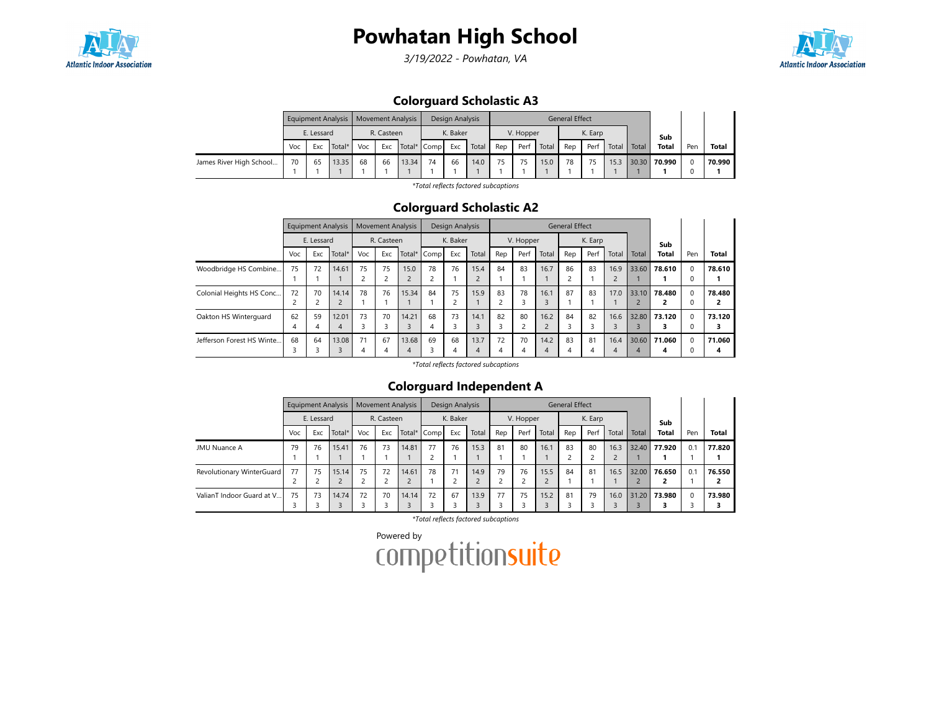

3/19/2022 - Powhatan, VA



### Colorguard Scholastic A3

|                         |     |            | Equipment Analysis   Movement Analysis |                           |     |       |          | Design Analysis |       |           |      |       | <b>General Effect</b> |      |       |       |              |     |        |
|-------------------------|-----|------------|----------------------------------------|---------------------------|-----|-------|----------|-----------------|-------|-----------|------|-------|-----------------------|------|-------|-------|--------------|-----|--------|
|                         |     | E. Lessard |                                        | R. Casteen<br>Total* Comp |     |       | K. Baker |                 |       | V. Hopper |      |       | K. Earp               |      |       | Sub   |              |     |        |
|                         | Voc | <b>Exc</b> | Total*                                 | Voc                       | Exc |       |          | Exc             | Total | Rep       | Perf | Total | Rep                   | Perf | Total | Total | <b>Total</b> | Pen | Total  |
| James River High School | 70  | 65         | 13.35                                  | 68                        | 66  | 13.34 | 74       | 66              | 14.0  | 75        | 75   | 15.0  | 78                    |      | 15.3  | 30.30 | 70.990       |     | 70.990 |
|                         |     |            |                                        |                           |     |       |          |                 |       |           |      |       |                       |      |       |       |              |     |        |

\*Total reflects factored subcaptions

#### Colorguard Scholastic A2

|                           |     |            | <b>Equipment Analysis</b> |     | <b>Movement Analysis</b> |       |             | Design Analysis |              |     |           |                | <b>General Effect</b> |         |                          |       |              |          |              |
|---------------------------|-----|------------|---------------------------|-----|--------------------------|-------|-------------|-----------------|--------------|-----|-----------|----------------|-----------------------|---------|--------------------------|-------|--------------|----------|--------------|
|                           |     | E. Lessard |                           |     | R. Casteen               |       |             | K. Baker        |              |     | V. Hopper |                |                       | K. Earp |                          |       | Sub          |          |              |
|                           | Voc | Exc        | Total*                    | Voc | Exc                      |       | Total* Comp | Exc             | Total        | Rep | Perf      | Total          | Rep                   | Perf    | Total                    | Total | <b>Total</b> | Pen      | <b>Total</b> |
| Woodbridge HS Combine     | 75  | 72         | 14.61                     | 75  | 75                       | 15.0  | 78          | 76              | 15.4         | 84  | 83        | 16.7           | 86                    | 83      | 16.9                     | 33.60 | 78.610       | $\Omega$ | 78.610       |
|                           |     |            |                           |     | $\overline{c}$           |       |             |                 | $\mathbf{r}$ |     |           |                |                       |         | $\overline{\phantom{0}}$ |       |              | 0        |              |
| Colonial Heights HS Conc  | 72  | 70         | 14.14                     | 78  | 76                       | 15.34 | 84          | 75              | 15.9         | 83  | 78        | 16.1           | 87                    | 83      | 17.0                     | 33.10 | 78.480       | $\Omega$ | 78.480       |
|                           |     |            | $\overline{c}$            |     |                          |       |             |                 |              | 2   |           | 3              |                       |         |                          |       |              |          |              |
| Oakton HS Winterquard     | 62  | 59         | 12.01                     | 73  | 70                       | 14.21 | 68          | 73              | 14.1         | 82  | 80        | 16.2           | 84                    | 82      | 16.6                     | 32.80 | 73.120       | $\Omega$ | 73.120       |
|                           | 4   | 4          | 4                         |     | 3                        | ξ     | 4           |                 | 3            | 3   |           | $\overline{c}$ | 3                     |         | 3                        |       |              | $\Omega$ | 3            |
| Jefferson Forest HS Winte | 68  | 64         | 13.08                     | 71  | 67                       | 13.68 | 69          | 68              | 13.7         | 72  | 70        | 14.2           | 83                    | 81      | 16.4                     | 30.60 | 71.060       | $\Omega$ | 71.060       |
|                           |     |            | $\overline{\mathbf{3}}$   | 4   | 4                        | 4     |             | 4               | 4            | 4   |           | $\overline{4}$ | 4                     |         | 4                        |       | 4            |          | 4            |

\*Total reflects factored subcaptions

#### Colorguard Independent A

|                           |     |            | <b>Equipment Analysis</b> |     |            | <b>Movement Analysis</b> |             | Design Analysis |       |     |           |           | <b>General Effect</b> |         |       |       |              |          |              |
|---------------------------|-----|------------|---------------------------|-----|------------|--------------------------|-------------|-----------------|-------|-----|-----------|-----------|-----------------------|---------|-------|-------|--------------|----------|--------------|
|                           |     | E. Lessard |                           |     | R. Casteen |                          |             | K. Baker        |       |     | V. Hopper |           |                       | K. Earp |       |       | Sub          |          |              |
|                           | Voc | Exc        | Total*                    | Voc | Exc        |                          | Total* Comp | Exc             | Total | Rep | Perf      | Total     | Rep                   | Perf    | Total | Total | <b>Total</b> | Pen      | <b>Total</b> |
| <b>JMU Nuance A</b>       | 79  | 76         | 15.41                     | 76  | 73         | 14.81                    | 77          | 76              | 15.3  | 81  | 80        | 16.1      | 83                    | 80      | 16.3  | 32.40 | 77.920       | 0.1      | 77.820       |
| Revolutionary WinterGuard | 77  | 75         | 15.14                     | 75  | 72<br>2    | 14.61                    | 78          | 71              | 14.9  | 79  | 76        | 15.5      | 84                    | 81      | 16.5  | 32.00 | 76.650       | 0.1      | 76.550       |
| ValianT Indoor Guard at V | 75  | 73         | 14.74                     | 72  | 70         | 14.14                    | 72          | 67              | 13.9  | 77  | 75        | 15.2<br>3 | 81                    | 79      | 16.0  | 31.20 | 73.980       | $\Omega$ | 73.980       |

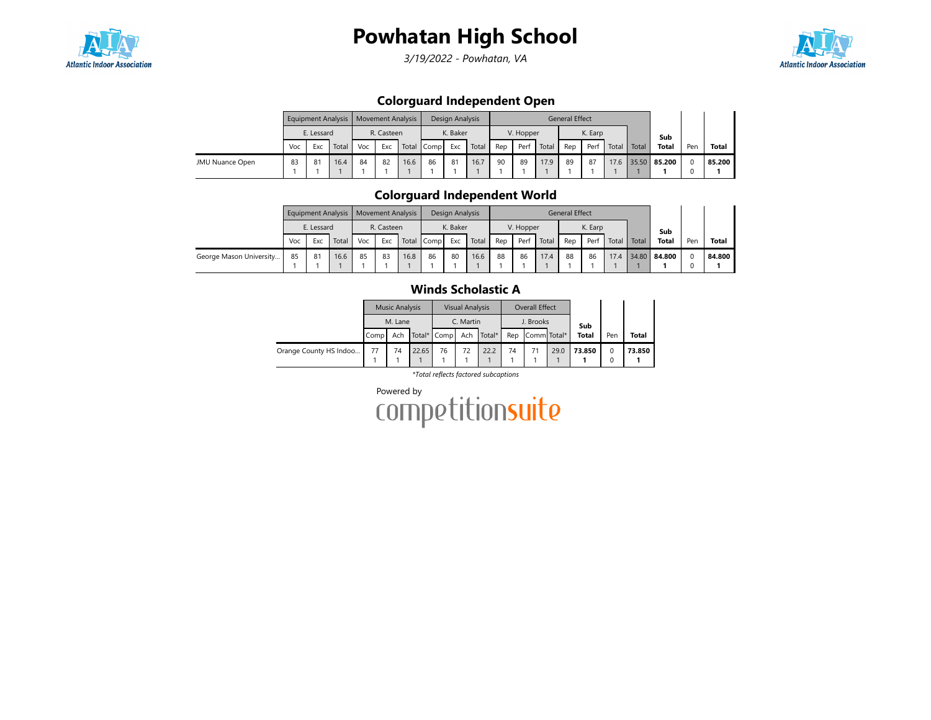

3/19/2022 - Powhatan, VA



### Colorguard Independent Open

|                 |     |            |       | Equipment Analysis   Movement Analysis |                                 |      |    | Design Analysis |       |     |           |       | <b>General Effect</b> |         |       |       |              |     |              |
|-----------------|-----|------------|-------|----------------------------------------|---------------------------------|------|----|-----------------|-------|-----|-----------|-------|-----------------------|---------|-------|-------|--------------|-----|--------------|
|                 |     | E. Lessard |       |                                        | R. Casteen<br>Total Comp<br>Exc |      |    | K. Baker        |       |     | V. Hopper |       |                       | K. Earp |       |       | Sub          |     |              |
|                 | Voc | Exc        | Total | Voc                                    |                                 |      |    | Exc             | Total | Rep | Perf      | Total | Rep                   | Perf    | Total | Total | <b>Total</b> | Pen | <b>Total</b> |
| JMU Nuance Open | 83  | 81         | 16.4  | 84                                     | 82                              | 16.6 | 86 | 81              | 16.7  | 90  | 89        | 17.9  | 89                    | 87      | 17.6  |       | 35.50 85.200 |     | 85.200       |
|                 |     |            |       |                                        |                                 |      |    |                 |       |     |           |       |                       |         |       |       |              |     |              |

### Colorguard Independent World

|                         |     |            | Equipment Analysis   Movement Analysis |     |            |      |            | Design Analysis |       |     |           |       | <b>General Effect</b> |         |             |                   |     |              |
|-------------------------|-----|------------|----------------------------------------|-----|------------|------|------------|-----------------|-------|-----|-----------|-------|-----------------------|---------|-------------|-------------------|-----|--------------|
|                         |     | E. Lessard |                                        |     | R. Casteen |      |            | K. Baker        |       |     | V. Hopper |       |                       | K. Earp |             | Sub               |     |              |
|                         | Voc | Exc        | Total                                  | Voc | Exc        |      | Total Comp | Exc             | Total | Rep | Per       | Total | Rep                   | Perf    | Total Total | <b>Total</b>      | Pen | <b>Total</b> |
| George Mason University | 85  | 81         | 16.6                                   | 85  | 83         | 16.8 | 86         | 80              | 16.6  | 88  | 86        | 17.4  | 88                    | 86      |             | 17.4 34.80 84.800 |     | 84.800       |
|                         |     |            |                                        |     |            |      |            |                 |       |     |           |       |                       |         |             |                   |     |              |

#### Winds Scholastic A

|                        |      | <b>Music Analysis</b> |       |             | <b>Visual Analysis</b> |        |     | Overall Effect |      |              |     |        |
|------------------------|------|-----------------------|-------|-------------|------------------------|--------|-----|----------------|------|--------------|-----|--------|
|                        |      | M. Lane               |       |             | C. Martin              |        |     | J. Brooks      |      | Sub          |     |        |
|                        | Comp | Ach                   |       | Total* Comp | Ach                    | Total* | Rep | Comm Total*    |      | <b>Total</b> | Pen | Total  |
| Orange County HS Indoo | 77   | 74                    | 22.65 | 76          | 72                     | 22.2   | 74  |                | 29.0 | 73.850       |     | 73.850 |
|                        |      |                       |       |             |                        |        |     |                |      |              |     |        |

\*Total reflects factored subcaptions

Powered by<br>COMPetitionsuite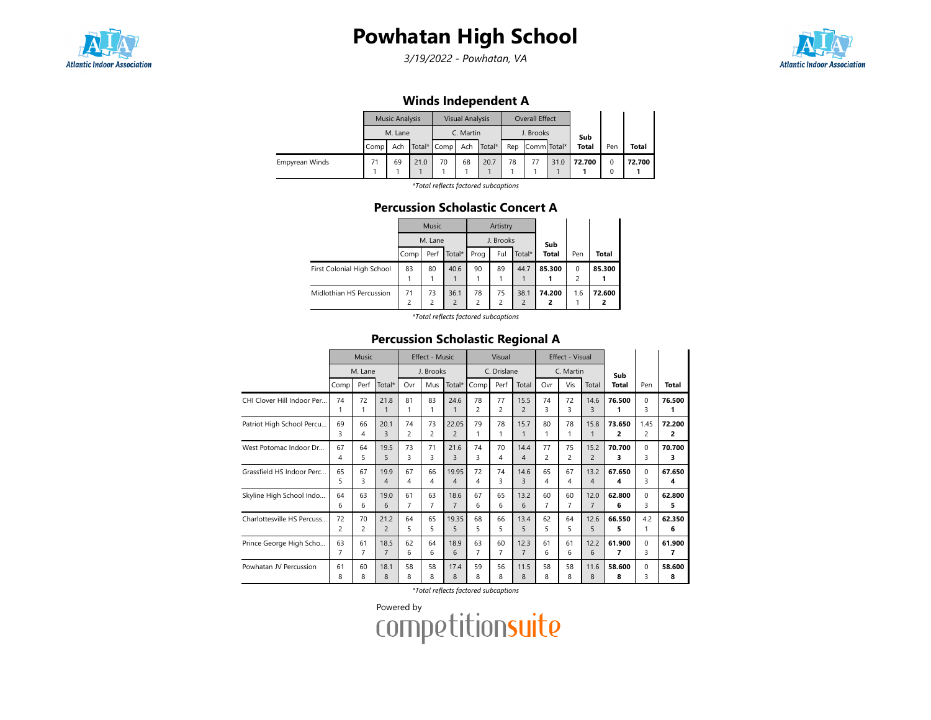

3/19/2022 - Powhatan, VA



### Winds Independent A

|                |      | <b>Music Analysis</b> |      |                 | <b>Visual Analysis</b> |        |     | Overall Effect |      |              |     |        |
|----------------|------|-----------------------|------|-----------------|------------------------|--------|-----|----------------|------|--------------|-----|--------|
|                |      | M. Lane               |      |                 | C. Martin              |        |     | J. Brooks      |      | Sub          |     |        |
|                | Comp | Ach                   |      | Total* Comp Ach |                        | Total* | Rep | Comm Total*    |      | <b>Total</b> | Pen | Total  |
| Empyrean Winds | 71   | 69                    | 21.0 | 70              | 68                     | 20.7   | 78  |                | 31.0 | 72.700       | 0   | 72.700 |
|                |      |                       |      |                 |                        |        |     |                |      |              | 0   |        |

\*Total reflects factored subcaptions

#### Percussion Scholastic Concert A

|                            |                | <b>Music</b>   |                |                | Artistry       |                |              |          |              |
|----------------------------|----------------|----------------|----------------|----------------|----------------|----------------|--------------|----------|--------------|
|                            |                | M. Lane        |                |                | J. Brooks      |                | Sub          |          |              |
|                            | Comp           | Perf           | Total*         | Prog           | Ful            | Total*         | <b>Total</b> | Pen      | <b>Total</b> |
| First Colonial High School | 83             | 80             | 40.6           | 90             | 89             | 44.7           | 85.300       | $\Omega$ | 85.300       |
|                            |                |                |                |                |                |                |              | 2        |              |
| Midlothian HS Percussion   | 71             | 73             | 36.1           | 78             | 75             | 38.1           | 74.200       | 1.6      | 72.600       |
|                            | $\overline{c}$ | $\overline{c}$ | $\overline{2}$ | $\overline{c}$ | $\overline{c}$ | $\overline{2}$ | 2            |          |              |

\*Total reflects factored subcaptions

### Percussion Scholastic Regional A

|                            | <b>Music</b><br>M. Lane |                |                | Effect - Music       |         |                         |             | Visual               |                        | Effect - Visual |                |                |              |                        |              |
|----------------------------|-------------------------|----------------|----------------|----------------------|---------|-------------------------|-------------|----------------------|------------------------|-----------------|----------------|----------------|--------------|------------------------|--------------|
|                            |                         |                |                | J. Brooks            |         |                         | C. Drislane |                      |                        | C. Martin       |                |                | Sub          |                        |              |
|                            | Comp                    | Perf           | Total*         | Ovr                  | Mus     | Total*                  | Comp        | Perf                 | Total                  | Ovr             | Vis            | Total          | <b>Total</b> | Pen                    | <b>Total</b> |
| CHI Clover Hill Indoor Per | 74<br>1                 | 72             | 21.8           | 81<br>1              | 83      | 24.6<br>1               | 78<br>2     | 77<br>$\overline{c}$ | 15.5<br>$\overline{2}$ | 74<br>3         | 72<br>₹        | 14.6<br>3      | 76.500       | 0<br>3                 | 76.500<br>1  |
| Patriot High School Percu  | 69<br>3                 | 66<br>4        | 20.1<br>3      | 74<br>$\overline{c}$ | 73<br>2 | 22.05<br>$\overline{2}$ | 79<br>1     | 78                   | 15.7                   | 80              | 78             | 15.8<br>1      | 73.650<br>2  | 1.45<br>$\overline{c}$ | 72.200<br>2  |
| West Potomac Indoor Dr     | 67                      | 64             | 19.5           | 73                   | 71      | 21.6                    | 74          | 70                   | 14.4                   | 77              | 75             | 15.2           | 70.700       | $\Omega$               | 70.700       |
|                            | 4                       | 5              | 5              | 3                    | 3       | 3                       | 3           | 4                    | 4                      | $\overline{c}$  | $\overline{2}$ | $\overline{c}$ | 3            | 3                      | з            |
| Grassfield HS Indoor Perc  | 65                      | 67             | 19.9           | 67                   | 66      | 19.95                   | 72          | 74                   | 14.6                   | 65              | 67             | 13.2           | 67.650       | $\Omega$               | 67.650       |
|                            | 5                       | 3              | 4              | 4                    | 4       | 4                       | 4           | 3                    | 3                      | 4               | 4              | 4              | 4            | 3                      | 4            |
| Skyline High School Indo   | 64                      | 63             | 19.0           | 61                   | 63      | 18.6                    | 67          | 65                   | 13.2                   | 60              | 60             | 12.0           | 62.800       | $\mathbf 0$            | 62.800       |
|                            | 6                       | 6              | 6              | 7                    | 7       | $\overline{7}$          | 6           | 6                    | 6                      | 7               | $\overline{7}$ | $\overline{7}$ | 6            | 3                      | 5            |
| Charlottesville HS Percuss | 72                      | 70             | 21.2           | 64                   | 65      | 19.35                   | 68          | 66                   | 13.4                   | 62              | 64             | 12.6           | 66.550       | 4.2                    | 62.350       |
|                            | $\overline{c}$          | $\overline{c}$ | $\overline{c}$ | 5                    | 5       | 5                       | 5           | 5                    | 5                      | 5               | 5              | 5              | 5            | 1                      | 6            |
| Prince George High Scho    | 63                      | 61             | 18.5           | 62                   | 64      | 18.9                    | 63          | 60                   | 12.3                   | 61              | 61             | 12.2           | 61.900       | $\Omega$               | 61.900       |
|                            | 7                       | 7              | $\overline{7}$ | 6                    | 6       | 6                       | 7           | 7                    | $\overline{7}$         | 6               | 6              | 6              | 7            | 3                      | 7            |
| Powhatan JV Percussion     | 61                      | 60             | 18.1           | 58                   | 58      | 17.4                    | 59          | 56                   | 11.5                   | 58              | 58             | 11.6           | 58.600       | $\mathbf 0$            | 58.600       |
|                            | 8                       | 8              | 8              | 8                    | 8       | 8                       | 8           | 8                    | 8                      | 8               | 8              | 8              | 8            | 3                      | 8            |